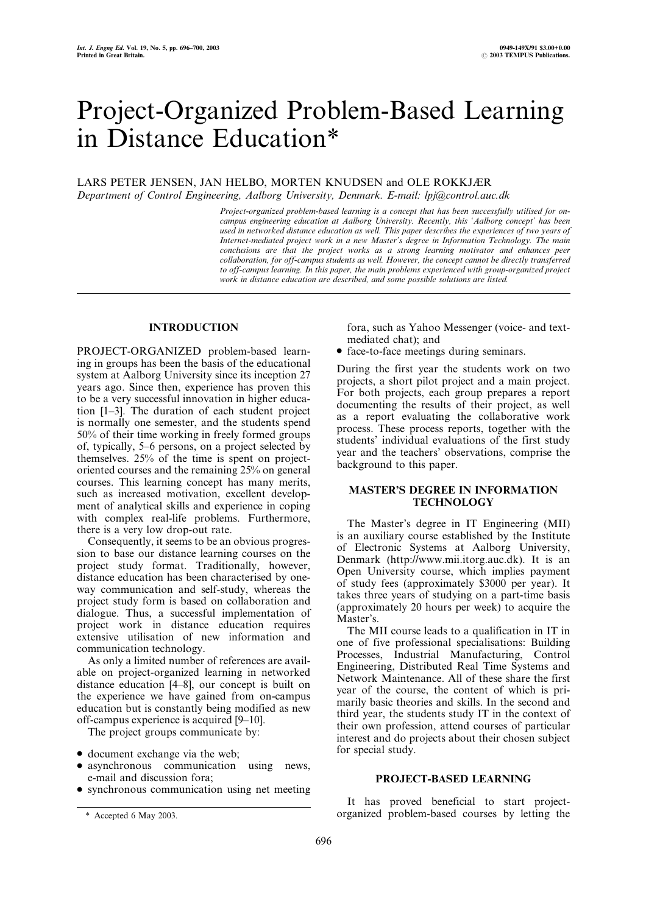# Project-Organized Problem-Based Learning in Distance Education\*

# LARS PETER JENSEN, JAN HELBO, MORTEN KNUDSEN and OLE ROKKJÆR Department of Control Engineering, Aalborg University, Denmark. E-mail: lpj@control.auc.dk

Project-organized problem-based learning is a concept that has been successfully utilised for oncampus engineering education at Aalborg University. Recently, this `Aalborg concept' has been used in networked distance education as well. This paper describes the experiences of two years of Internet-mediated project work in a new Master's degree in Information Technology. The main conclusions are that the project works as a strong learning motivator and enhances peer collaboration, for off-campus students as well. However, the concept cannot be directly transferred to off-campus learning. In this paper, the main problems experienced with group-organized project work in distance education are described, and some possible solutions are listed.

## INTRODUCTION

PROJECT-ORGANIZED problem-based learning in groups has been the basis of the educational system at Aalborg University since its inception 27 years ago. Since then, experience has proven this to be a very successful innovation in higher education [1–3]. The duration of each student project is normally one semester, and the students spend 50% of their time working in freely formed groups of, typically, 5–6 persons, on a project selected by themselves. 25% of the time is spent on projectoriented courses and the remaining 25% on general courses. This learning concept has many merits, such as increased motivation, excellent development of analytical skills and experience in coping with complex real-life problems. Furthermore, there is a very low drop-out rate.

Consequently, it seems to be an obvious progression to base our distance learning courses on the project study format. Traditionally, however, distance education has been characterised by oneway communication and self-study, whereas the project study form is based on collaboration and dialogue. Thus, a successful implementation of project work in distance education requires extensive utilisation of new information and communication technology.

As only a limited number of references are available on project-organized learning in networked distance education [4±8], our concept is built on the experience we have gained from on-campus education but is constantly being modified as new off-campus experience is acquired  $[9-10]$ .

The project groups communicate by:

- . document exchange via the web;
- . asynchronous communication using news, e-mail and discussion fora;
- . synchronous communication using net meeting

fora, such as Yahoo Messenger (voice- and textmediated chat); and

. face-to-face meetings during seminars.

During the first year the students work on two projects, a short pilot project and a main project. For both projects, each group prepares a report documenting the results of their project, as well as a report evaluating the collaborative work process. These process reports, together with the students' individual evaluations of the first study year and the teachers' observations, comprise the background to this paper.

## MASTER'S DEGREE IN INFORMATION **TECHNOLOGY**

The Master's degree in IT Engineering (MII) is an auxiliary course established by the Institute of Electronic Systems at Aalborg University, Denmark (http://www.mii.itorg.auc.dk). It is an Open University course, which implies payment of study fees (approximately \$3000 per year). It takes three years of studying on a part-time basis (approximately 20 hours per week) to acquire the Master's.

The MII course leads to a qualification in IT in one of five professional specialisations: Building Processes, Industrial Manufacturing, Control Engineering, Distributed Real Time Systems and Network Maintenance. All of these share the first year of the course, the content of which is primarily basic theories and skills. In the second and third year, the students study IT in the context of their own profession, attend courses of particular interest and do projects about their chosen subject for special study.

#### PROJECT-BASED LEARNING

It has proved beneficial to start project- \* Accepted 6 May 2003. organized problem-based courses by letting the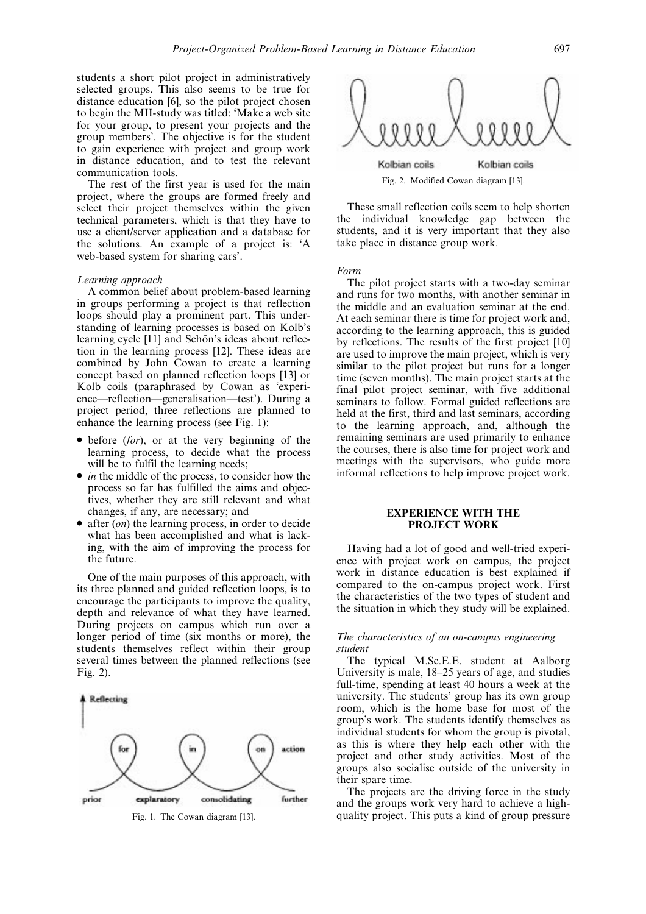students a short pilot project in administratively selected groups. This also seems to be true for distance education [6], so the pilot project chosen to begin the MII-study was titled: `Make a web site for your group, to present your projects and the group members'. The objective is for the student to gain experience with project and group work in distance education, and to test the relevant communication tools.

The rest of the first year is used for the main project, where the groups are formed freely and select their project themselves within the given technical parameters, which is that they have to use a client/server application and a database for the solutions. An example of a project is: `A web-based system for sharing cars'.

#### Learning approach

A common belief about problem-based learning in groups performing a project is that reflection loops should play a prominent part. This understanding of learning processes is based on Kolb's learning cycle [11] and Schön's ideas about reflection in the learning process [12]. These ideas are combined by John Cowan to create a learning concept based on planned reflection loops [13] or Kolb coils (paraphrased by Cowan as `experience—reflection—generalisation—test'). During a project period, three reflections are planned to enhance the learning process (see Fig. 1):

- $\bullet$  before (for), or at the very beginning of the learning process, to decide what the process will be to fulfil the learning needs;
- $\bullet$  *in* the middle of the process, to consider how the process so far has fulfilled the aims and objectives, whether they are still relevant and what changes, if any, are necessary; and
- $\bullet$  after (*on*) the learning process, in order to decide what has been accomplished and what is lacking, with the aim of improving the process for the future.

One of the main purposes of this approach, with its three planned and guided reflection loops, is to encourage the participants to improve the quality, depth and relevance of what they have learned. During projects on campus which run over a longer period of time (six months or more), the students themselves reflect within their group several times between the planned reflections (see Fig. 2).





These small reflection coils seem to help shorten the individual knowledge gap between the students, and it is very important that they also take place in distance group work.

Form

The pilot project starts with a two-day seminar and runs for two months, with another seminar in the middle and an evaluation seminar at the end. At each seminar there is time for project work and, according to the learning approach, this is guided by reflections. The results of the first project [10] are used to improve the main project, which is very similar to the pilot project but runs for a longer time (seven months). The main project starts at the final pilot project seminar, with five additional seminars to follow. Formal guided reflections are held at the first, third and last seminars, according to the learning approach, and, although the remaining seminars are used primarily to enhance the courses, there is also time for project work and meetings with the supervisors, who guide more informal reflections to help improve project work.

## EXPERIENCE WITH THE PROJECT WORK

Having had a lot of good and well-tried experience with project work on campus, the project work in distance education is best explained if compared to the on-campus project work. First the characteristics of the two types of student and the situation in which they study will be explained.

#### The characteristics of an on-campus engineering student

The typical M.Sc.E.E. student at Aalborg University is male,  $18-25$  years of age, and studies full-time, spending at least 40 hours a week at the university. The students' group has its own group room, which is the home base for most of the group's work. The students identify themselves as individual students for whom the group is pivotal, as this is where they help each other with the project and other study activities. Most of the groups also socialise outside of the university in their spare time.

The projects are the driving force in the study and the groups work very hard to achieve a high-Fig. 1. The Cowan diagram [13]. quality project. This puts a kind of group pressure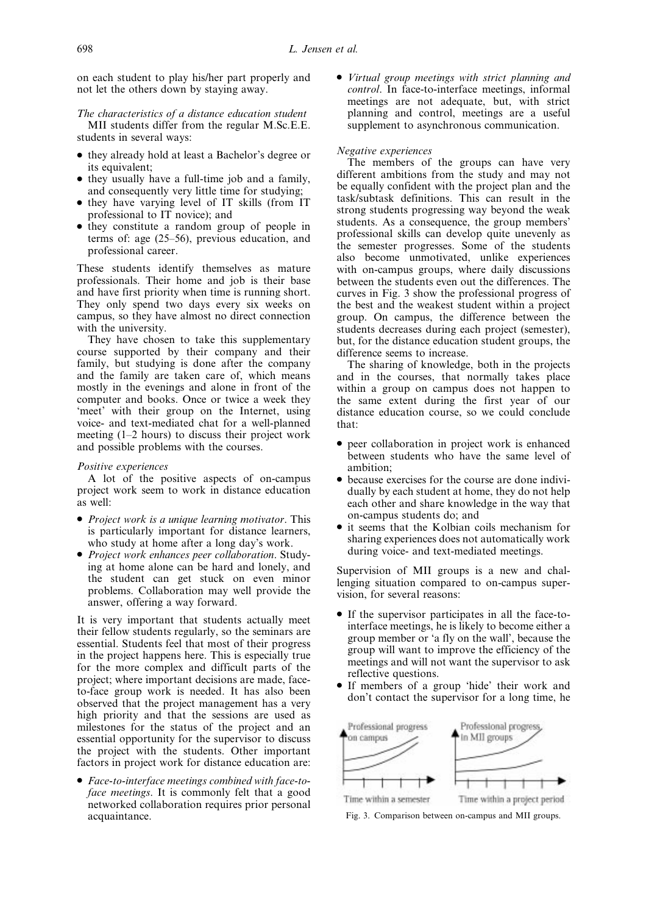on each student to play his/her part properly and not let the others down by staying away.

The characteristics of a distance education student MII students differ from the regular M.Sc.E.E. students in several ways:

- . they already hold at least a Bachelor's degree or its equivalent;
- . they usually have a full-time job and a family, and consequently very little time for studying;
- they have varying level of IT skills (from IT professional to IT novice); and
- . they constitute a random group of people in terms of: age  $(25-56)$ , previous education, and professional career.

These students identify themselves as mature professionals. Their home and job is their base and have first priority when time is running short. They only spend two days every six weeks on campus, so they have almost no direct connection with the university.

They have chosen to take this supplementary course supported by their company and their family, but studying is done after the company and the family are taken care of, which means mostly in the evenings and alone in front of the computer and books. Once or twice a week they `meet' with their group on the Internet, using voice- and text-mediated chat for a well-planned meeting  $(1-2$  hours) to discuss their project work and possible problems with the courses.

#### Positive experiences

A lot of the positive aspects of on-campus project work seem to work in distance education as well:

- Project work is a unique learning motivator. This is particularly important for distance learners, who study at home after a long day's work.
- . Project work enhances peer collaboration. Studying at home alone can be hard and lonely, and the student can get stuck on even minor problems. Collaboration may well provide the answer, offering a way forward.

It is very important that students actually meet their fellow students regularly, so the seminars are essential. Students feel that most of their progress in the project happens here. This is especially true for the more complex and difficult parts of the project; where important decisions are made, faceto-face group work is needed. It has also been observed that the project management has a very high priority and that the sessions are used as milestones for the status of the project and an essential opportunity for the supervisor to discuss the project with the students. Other important factors in project work for distance education are:

. Face-to-interface meetings combined with face-toface meetings. It is commonly felt that a good networked collaboration requires prior personal acquaintance.

. Virtual group meetings with strict planning and control. In face-to-interface meetings, informal meetings are not adequate, but, with strict planning and control, meetings are a useful supplement to asynchronous communication.

#### Negative experiences

The members of the groups can have very different ambitions from the study and may not be equally confident with the project plan and the task/subtask definitions. This can result in the strong students progressing way beyond the weak students. As a consequence, the group members' professional skills can develop quite unevenly as the semester progresses. Some of the students also become unmotivated, unlike experiences with on-campus groups, where daily discussions between the students even out the differences. The curves in Fig. 3 show the professional progress of the best and the weakest student within a project group. On campus, the difference between the students decreases during each project (semester), but, for the distance education student groups, the difference seems to increase.

The sharing of knowledge, both in the projects and in the courses, that normally takes place within a group on campus does not happen to the same extent during the first year of our distance education course, so we could conclude that:

- . peer collaboration in project work is enhanced between students who have the same level of ambition;
- . because exercises for the course are done individually by each student at home, they do not help each other and share knowledge in the way that on-campus students do; and
- . it seems that the Kolbian coils mechanism for sharing experiences does not automatically work during voice- and text-mediated meetings.

Supervision of MII groups is a new and challenging situation compared to on-campus supervision, for several reasons:

- . If the supervisor participates in all the face-tointerface meetings, he is likely to become either a group member or `a fly on the wall', because the group will want to improve the efficiency of the meetings and will not want the supervisor to ask reflective questions.
- . If members of a group `hide' their work and don't contact the supervisor for a long time, he



Fig. 3. Comparison between on-campus and MII groups.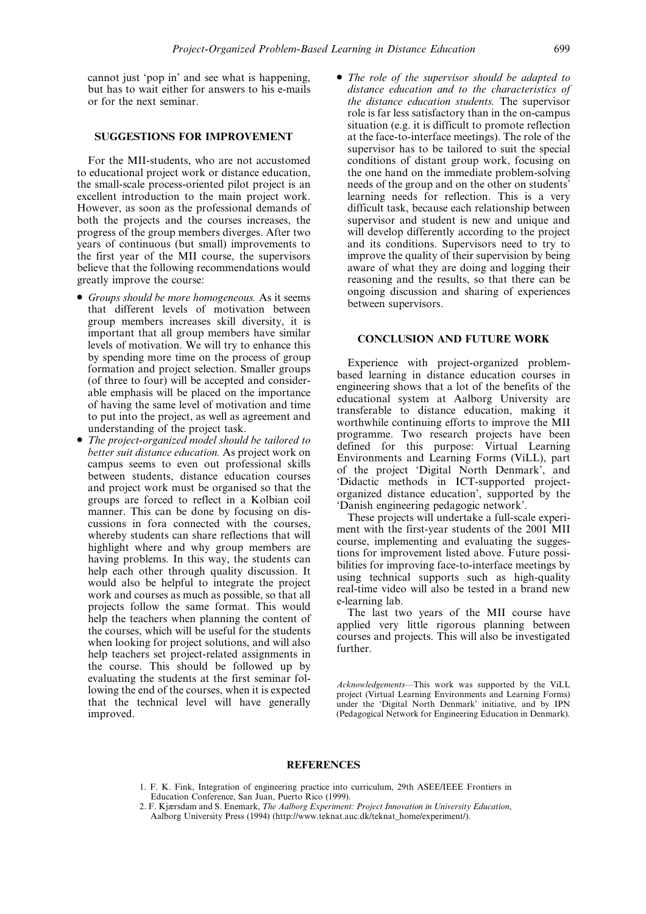cannot just `pop in' and see what is happening, but has to wait either for answers to his e-mails or for the next seminar.

## SUGGESTIONS FOR IMPROVEMENT

For the MII-students, who are not accustomed to educational project work or distance education, the small-scale process-oriented pilot project is an excellent introduction to the main project work. However, as soon as the professional demands of both the projects and the courses increases, the progress of the group members diverges. After two years of continuous (but small) improvements to the first year of the MII course, the supervisors believe that the following recommendations would greatly improve the course:

- Groups should be more homogeneous. As it seems that different levels of motivation between group members increases skill diversity, it is important that all group members have similar levels of motivation. We will try to enhance this by spending more time on the process of group formation and project selection. Smaller groups (of three to four) will be accepted and considerable emphasis will be placed on the importance of having the same level of motivation and time to put into the project, as well as agreement and understanding of the project task.
- The project-organized model should be tailored to better suit distance education. As project work on campus seems to even out professional skills between students, distance education courses and project work must be organised so that the groups are forced to reflect in a Kolbian coil manner. This can be done by focusing on discussions in fora connected with the courses, whereby students can share reflections that will highlight where and why group members are having problems. In this way, the students can help each other through quality discussion. It would also be helpful to integrate the project work and courses as much as possible, so that all projects follow the same format. This would help the teachers when planning the content of the courses, which will be useful for the students when looking for project solutions, and will also help teachers set project-related assignments in the course. This should be followed up by evaluating the students at the first seminar following the end of the courses, when it is expected that the technical level will have generally improved.

• The role of the supervisor should be adapted to distance education and to the characteristics of the distance education students. The supervisor role is far less satisfactory than in the on-campus situation (e.g. it is difficult to promote reflection at the face-to-interface meetings). The role of the supervisor has to be tailored to suit the special conditions of distant group work, focusing on the one hand on the immediate problem-solving needs of the group and on the other on students' learning needs for reflection. This is a very difficult task, because each relationship between supervisor and student is new and unique and will develop differently according to the project and its conditions. Supervisors need to try to improve the quality of their supervision by being aware of what they are doing and logging their reasoning and the results, so that there can be ongoing discussion and sharing of experiences between supervisors.

#### CONCLUSION AND FUTURE WORK

Experience with project-organized problembased learning in distance education courses in engineering shows that a lot of the benefits of the educational system at Aalborg University are transferable to distance education, making it worthwhile continuing efforts to improve the MII programme. Two research projects have been defined for this purpose: Virtual Learning Environments and Learning Forms (ViLL), part of the project `Digital North Denmark', and `Didactic methods in ICT-supported projectorganized distance education', supported by the `Danish engineering pedagogic network'.

These projects will undertake a full-scale experiment with the first-year students of the 2001 MII course, implementing and evaluating the suggestions for improvement listed above. Future possibilities for improving face-to-interface meetings by using technical supports such as high-quality real-time video will also be tested in a brand new e-learning lab.

The last two years of the MII course have applied very little rigorous planning between courses and projects. This will also be investigated further.

Acknowledgements-This work was supported by the ViLL project (Virtual Learning Environments and Learning Forms) under the `Digital North Denmark' initiative, and by IPN (Pedagogical Network for Engineering Education in Denmark).

#### **REFERENCES**

- 1. F. K. Fink, Integration of engineering practice into curriculum, 29th ASEE/IEEE Frontiers in Education Conference, San Juan, Puerto Rico (1999).
- 2. F. Kjærsdam and S. Enemark, The Aalborg Experiment: Project Innovation in University Education, Aalborg University Press (1994) (http://www.teknat.auc.dk/teknat\_home/experiment/).